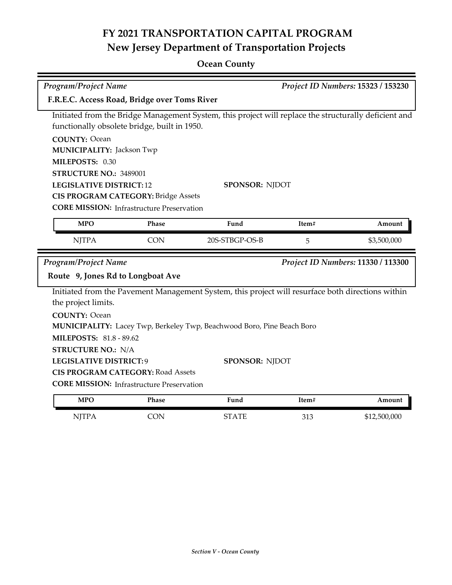### **Ocean County**

| Program/Project Name<br>Project ID Numbers: 15323 / 153230 |                                                  |                                                                                                       |       |                                    |
|------------------------------------------------------------|--------------------------------------------------|-------------------------------------------------------------------------------------------------------|-------|------------------------------------|
| F.R.E.C. Access Road, Bridge over Toms River               |                                                  |                                                                                                       |       |                                    |
|                                                            |                                                  | Initiated from the Bridge Management System, this project will replace the structurally deficient and |       |                                    |
|                                                            | functionally obsolete bridge, built in 1950.     |                                                                                                       |       |                                    |
| <b>COUNTY: Ocean</b>                                       |                                                  |                                                                                                       |       |                                    |
| <b>MUNICIPALITY: Jackson Twp</b>                           |                                                  |                                                                                                       |       |                                    |
| MILEPOSTS: 0.30                                            |                                                  |                                                                                                       |       |                                    |
| STRUCTURE NO.: 3489001                                     |                                                  |                                                                                                       |       |                                    |
| <b>LEGISLATIVE DISTRICT: 12</b>                            |                                                  | <b>SPONSOR: NJDOT</b>                                                                                 |       |                                    |
|                                                            | <b>CIS PROGRAM CATEGORY: Bridge Assets</b>       |                                                                                                       |       |                                    |
|                                                            | <b>CORE MISSION: Infrastructure Preservation</b> |                                                                                                       |       |                                    |
| <b>MPO</b>                                                 | Phase                                            | Fund                                                                                                  | Item# | Amount                             |
| <b>NJTPA</b>                                               | <b>CON</b>                                       | 20S-STBGP-OS-B                                                                                        | 5     | \$3,500,000                        |
|                                                            |                                                  |                                                                                                       |       |                                    |
| Program/Project Name                                       |                                                  |                                                                                                       |       | Project ID Numbers: 11330 / 113300 |
| Route 9, Jones Rd to Longboat Ave                          |                                                  |                                                                                                       |       |                                    |
|                                                            |                                                  | Initiated from the Pavement Management System, this project will resurface both directions within     |       |                                    |
| the project limits.                                        |                                                  |                                                                                                       |       |                                    |
| <b>COUNTY: Ocean</b>                                       |                                                  |                                                                                                       |       |                                    |
|                                                            |                                                  | MUNICIPALITY: Lacey Twp, Berkeley Twp, Beachwood Boro, Pine Beach Boro                                |       |                                    |
| <b>MILEPOSTS: 81.8 - 89.62</b>                             |                                                  |                                                                                                       |       |                                    |
| <b>STRUCTURE NO.: N/A</b>                                  |                                                  |                                                                                                       |       |                                    |
| <b>LEGISLATIVE DISTRICT:9</b>                              |                                                  | SPONSOR: NJDOT                                                                                        |       |                                    |
|                                                            | <b>CIS PROGRAM CATEGORY: Road Assets</b>         |                                                                                                       |       |                                    |
|                                                            | <b>CORE MISSION:</b> Infrastructure Preservation |                                                                                                       |       |                                    |
| <b>MPO</b>                                                 | Phase                                            | Fund                                                                                                  | Item# | Amount                             |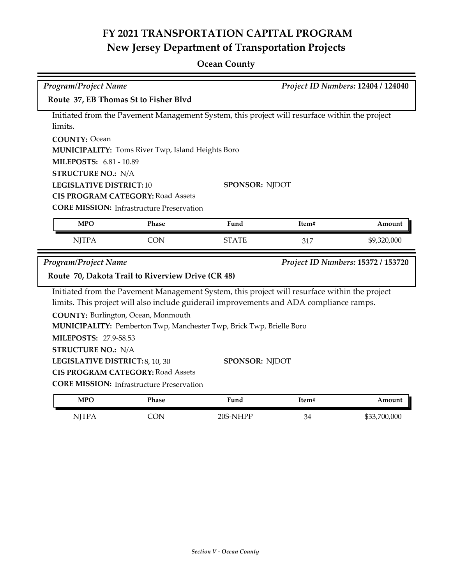## **Ocean County**

| <b>Program/Project Name</b>                       |                                                                                               |                                                                                               | Project ID Numbers: 12404 / 124040 |                                    |  |  |
|---------------------------------------------------|-----------------------------------------------------------------------------------------------|-----------------------------------------------------------------------------------------------|------------------------------------|------------------------------------|--|--|
| Route 37, EB Thomas St to Fisher Blvd             |                                                                                               |                                                                                               |                                    |                                    |  |  |
| limits.                                           | Initiated from the Pavement Management System, this project will resurface within the project |                                                                                               |                                    |                                    |  |  |
| <b>COUNTY: Ocean</b>                              |                                                                                               |                                                                                               |                                    |                                    |  |  |
|                                                   | <b>MUNICIPALITY:</b> Toms River Twp, Island Heights Boro                                      |                                                                                               |                                    |                                    |  |  |
| <b>MILEPOSTS: 6.81 - 10.89</b>                    |                                                                                               |                                                                                               |                                    |                                    |  |  |
| <b>STRUCTURE NO.: N/A</b>                         |                                                                                               |                                                                                               |                                    |                                    |  |  |
| <b>LEGISLATIVE DISTRICT: 10</b>                   |                                                                                               | <b>SPONSOR: NJDOT</b>                                                                         |                                    |                                    |  |  |
|                                                   | <b>CIS PROGRAM CATEGORY: Road Assets</b>                                                      |                                                                                               |                                    |                                    |  |  |
|                                                   | <b>CORE MISSION:</b> Infrastructure Preservation                                              |                                                                                               |                                    |                                    |  |  |
| <b>MPO</b>                                        | Phase                                                                                         | Fund                                                                                          | Item#                              | Amount                             |  |  |
| <b>NJTPA</b>                                      | <b>CON</b>                                                                                    | <b>STATE</b>                                                                                  | 317                                | \$9,320,000                        |  |  |
| <b>Program/Project Name</b>                       |                                                                                               |                                                                                               |                                    | Project ID Numbers: 15372 / 153720 |  |  |
| Route 70, Dakota Trail to Riverview Drive (CR 48) |                                                                                               |                                                                                               |                                    |                                    |  |  |
|                                                   |                                                                                               | Initiated from the Pavement Management System, this project will resurface within the project |                                    |                                    |  |  |
|                                                   |                                                                                               | limits. This project will also include guiderail improvements and ADA compliance ramps.       |                                    |                                    |  |  |
|                                                   |                                                                                               |                                                                                               |                                    |                                    |  |  |
| COUNTY: Burlington, Ocean, Monmouth               |                                                                                               |                                                                                               |                                    |                                    |  |  |
|                                                   |                                                                                               | MUNICIPALITY: Pemberton Twp, Manchester Twp, Brick Twp, Brielle Boro                          |                                    |                                    |  |  |
| <b>MILEPOSTS: 27.9-58.53</b>                      |                                                                                               |                                                                                               |                                    |                                    |  |  |
| <b>STRUCTURE NO.: N/A</b>                         |                                                                                               |                                                                                               |                                    |                                    |  |  |
| LEGISLATIVE DISTRICT: 8, 10, 30                   |                                                                                               | <b>SPONSOR: NJDOT</b>                                                                         |                                    |                                    |  |  |
|                                                   | <b>CIS PROGRAM CATEGORY: Road Assets</b>                                                      |                                                                                               |                                    |                                    |  |  |
|                                                   | <b>CORE MISSION:</b> Infrastructure Preservation                                              |                                                                                               |                                    |                                    |  |  |
| <b>MPO</b>                                        | Phase                                                                                         | Fund                                                                                          | Item#                              | Amount                             |  |  |
| <b>NJTPA</b>                                      | <b>CON</b>                                                                                    | 20S-NHPP                                                                                      | 34                                 | \$33,700,000                       |  |  |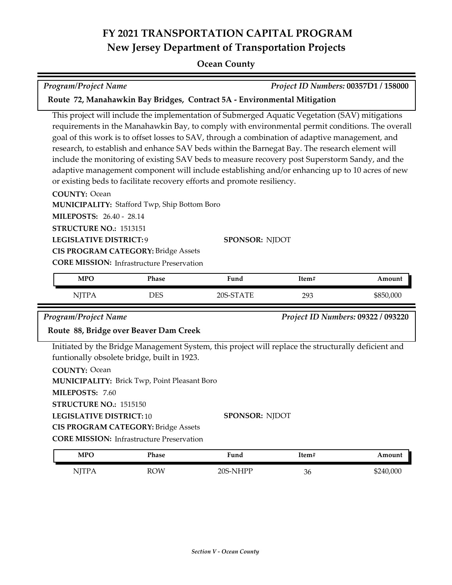#### **Ocean County**

| Program/Project Name | Project ID Numbers: 00357D1 / 158000 |
|----------------------|--------------------------------------|
|                      |                                      |

#### **Route 72, Manahawkin Bay Bridges, Contract 5A - Environmental Mitigation**

This project will include the implementation of Submerged Aquatic Vegetation (SAV) mitigations requirements in the Manahawkin Bay, to comply with environmental permit conditions. The overall goal of this work is to offset losses to SAV, through a combination of adaptive management, and research, to establish and enhance SAV beds within the Barnegat Bay. The research element will include the monitoring of existing SAV beds to measure recovery post Superstorm Sandy, and the adaptive management component will include establishing and/or enhancing up to 10 acres of new or existing beds to facilitate recovery efforts and promote resiliency.

#### **COUNTY:** Ocean

**MUNICIPALITY: Stafford Twp, Ship Bottom Boro** 

**MILEPOSTS:** 26.40 - 28.14

**STRUCTURE NO.:** 1513151

**LEGISLATIVE DISTRICT:** 9

**SPONSOR:** NJDOT **CIS PROGRAM CATEGORY:** Bridge Assets

**CORE MISSION: Infrastructure Preservation** 

| <b>MPO</b> | Phase | Fund      | Item# | Amount    |
|------------|-------|-----------|-------|-----------|
| NJTPA      | DES   | 20S-STATE | 293   | \$850,000 |

*Program/Project Name Project ID Numbers:* **09322 / 093220**

#### **Route 88, Bridge over Beaver Dam Creek**

Initiated by the Bridge Management System, this project will replace the structurally deficient and funtionally obsolete bridge, built in 1923.

| <b>COUNTY: Ocean</b> |                                                     |
|----------------------|-----------------------------------------------------|
|                      | <b>MUNICIPALITY: Brick Twp, Point Pleasant Boro</b> |

**MILEPOSTS:** 7.60

**STRUCTURE NO.:** 1515150

**LEGISLATIVE DISTRICT:** 10

**CIS PROGRAM CATEGORY:** Bridge Assets

**CORE MISSION: Infrastructure Preservation** 

| <b>MPO</b>  | Phase      | ∀und                | ítem# | Amount    |
|-------------|------------|---------------------|-------|-----------|
| <b>TTTT</b> | <b>ROW</b> | ⊃∩ר<br><b>NIHPP</b> | 36    | \$240,000 |

**SPONSOR:** NJDOT